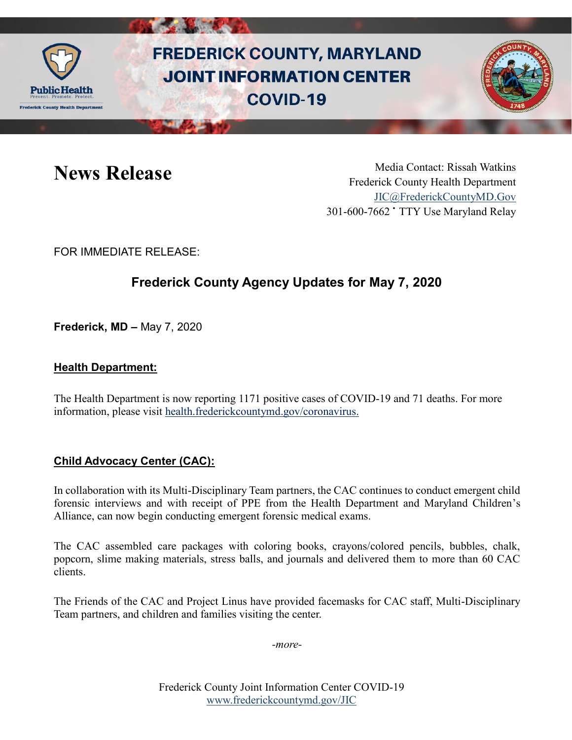

# **FREDERICK COUNTY, MARYLAND JOINT INFORMATION CENTER COVID-19**



News Release Media Contact: Rissah Watkins Frederick County Health Department [JIC@FrederickCountyMD.Gov](mailto:JIC@FrederickCountyMD.Gov) 301-600-7662 • TTY Use Maryland Relay

FOR IMMEDIATE RELEASE:

## **Frederick County Agency Updates for May 7, 2020**

**Frederick, MD –** May 7, 2020

#### **Health Department:**

The Health Department is now reporting 1171 positive cases of COVID-19 and 71 deaths. For more information, please visit [health.frederickcountymd.gov/coronavirus.](https://health.frederickcountymd.gov/614/Novel-Coronavirus-COVID-19)

#### **Child Advocacy Center (CAC):**

In collaboration with its Multi-Disciplinary Team partners, the CAC continues to conduct emergent child forensic interviews and with receipt of PPE from the Health Department and Maryland Children's Alliance, can now begin conducting emergent forensic medical exams.

The CAC assembled care packages with coloring books, crayons/colored pencils, bubbles, chalk, popcorn, slime making materials, stress balls, and journals and delivered them to more than 60 CAC clients.

The Friends of the CAC and Project Linus have provided facemasks for CAC staff, Multi-Disciplinary Team partners, and children and families visiting the center.

*-more-*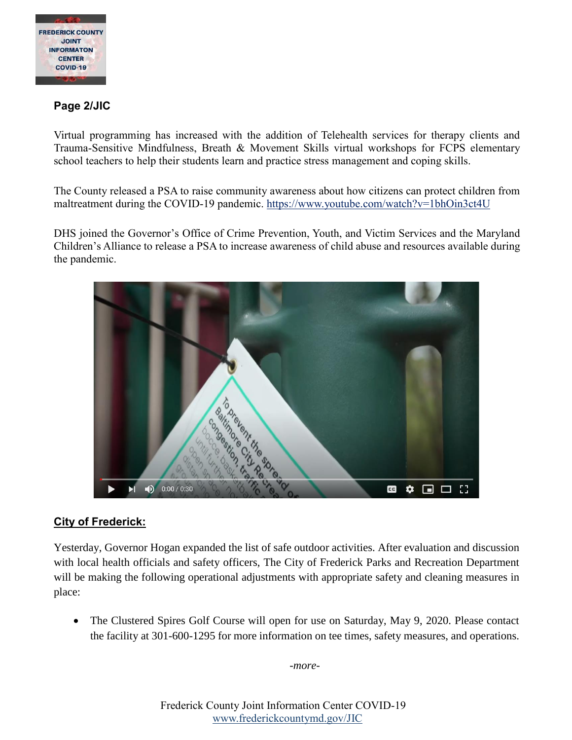

#### **Page 2/JIC**

Virtual programming has increased with the addition of Telehealth services for therapy clients and Trauma-Sensitive Mindfulness, Breath & Movement Skills virtual workshops for FCPS elementary school teachers to help their students learn and practice stress management and coping skills.

The County released a PSA to raise community awareness about how citizens can protect children from maltreatment during the COVID-19 pandemic.<https://www.youtube.com/watch?v=1bhOin3ct4U>

DHS joined the Governor's Office of Crime Prevention, Youth, and Victim Services and the Maryland Children's Alliance to release a PSA to increase awareness of child abuse and resources available during the pandemic.



#### **City of Frederick:**

Yesterday, Governor Hogan expanded the list of safe outdoor activities. After evaluation and discussion with local health officials and safety officers, The City of Frederick Parks and Recreation Department will be making the following operational adjustments with appropriate safety and cleaning measures in place:

 The Clustered Spires Golf Course will open for use on Saturday, May 9, 2020. Please contact the facility at 301-600-1295 for more information on tee times, safety measures, and operations.

*-more-*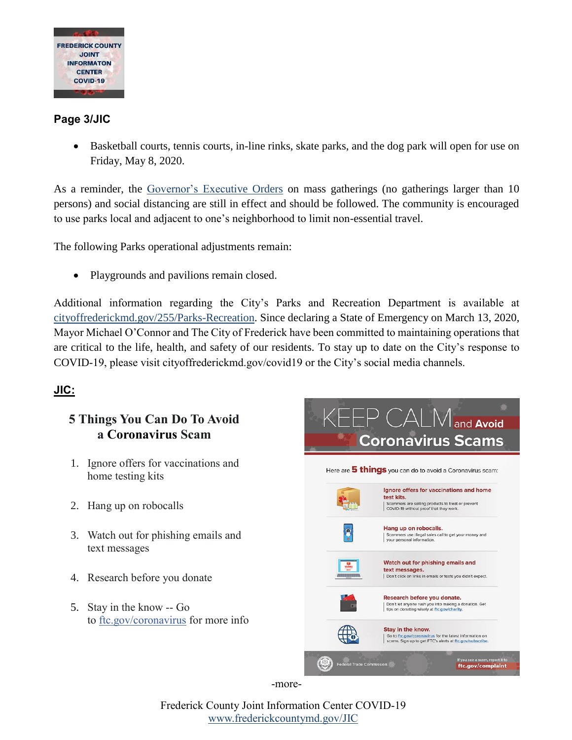

#### **Page 3/JIC**

• Basketball courts, tennis courts, in-line rinks, skate parks, and the dog park will open for use on Friday, May 8, 2020.

As a reminder, the [Governor's Executive Orders](https://governor.maryland.gov/covid-19-pandemic-orders-and-guidance/) on mass gatherings (no gatherings larger than 10 persons) and social distancing are still in effect and should be followed. The community is encouraged to use parks local and adjacent to one's neighborhood to limit non-essential travel.

The following Parks operational adjustments remain:

Playgrounds and pavilions remain closed.

Additional information regarding the City's Parks and Recreation Department is available at [cityoffrederickmd.gov/255/Parks-Recreation.](https://cityoffrederickmd.gov/255/Parks-Recreation) Since declaring a State of Emergency on March 13, 2020, Mayor Michael O'Connor and The City of Frederick have been committed to maintaining operations that are critical to the life, health, and safety of our residents. To stay up to date on the City's response to COVID-19, please visit cityoffrederickmd.gov/covid19 or the City's social media channels.

### **JIC:**

#### **5 Things You Can Do To Avoid a [Coronavirus](https://www.facebook.com/hashtag/coronavirus?epa=HASHTAG) Scam**

- 1. Ignore offers for vaccinations and home testing kits
- 2. Hang up on robocalls
- 3. Watch out for phishing emails and text messages
- 4. Research before you donate
- 5. Stay in the know -- Go to [ftc.gov/coronavirus](https://www.ftc.gov/coronavirus) for more info



-more-

Frederick County Joint Information Center COVID-19 [www.frederickcountymd.gov/JIC](https://frederickcountymd.gov/JIC)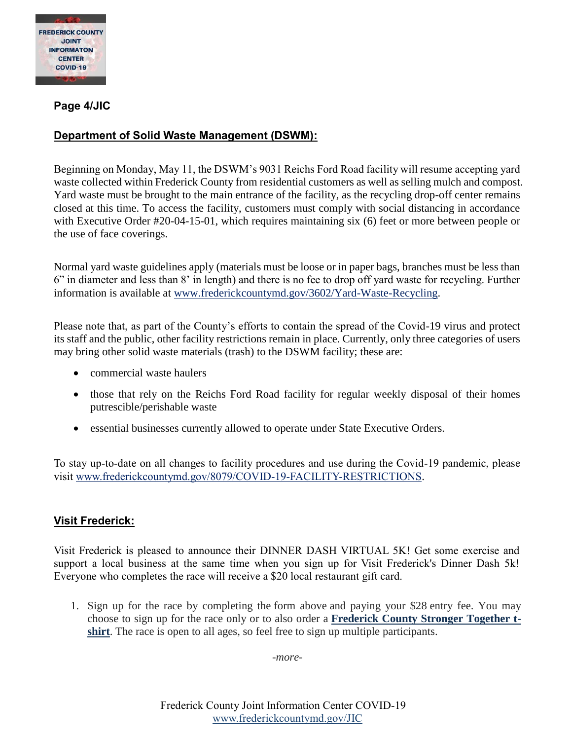

**Page 4/JIC**

#### **Department of Solid Waste Management (DSWM):**

Beginning on Monday, May 11, the DSWM's 9031 Reichs Ford Road facility will resume accepting yard waste collected within Frederick County from residential customers as well as selling mulch and compost. Yard waste must be brought to the main entrance of the facility, as the recycling drop-off center remains closed at this time. To access the facility, customers must comply with social distancing in accordance with Executive Order #20-04-15-01, which requires maintaining six (6) feet or more between people or the use of face coverings.

Normal yard waste guidelines apply (materials must be loose or in paper bags, branches must be less than 6" in diameter and less than 8' in length) and there is no fee to drop off yard waste for recycling. Further information is available at [www.frederickcountymd.gov/3602/Yard-Waste-Recycling.](http://www.frederickcountymd.gov/3602/Yard-Waste-Recycling)

Please note that, as part of the County's efforts to contain the spread of the Covid-19 virus and protect its staff and the public, other facility restrictions remain in place. Currently, only three categories of users may bring other solid waste materials (trash) to the DSWM facility; these are:

- commercial waste haulers
- those that rely on the Reichs Ford Road facility for regular weekly disposal of their homes putrescible/perishable waste
- essential businesses currently allowed to operate under State Executive Orders.

To stay up-to-date on all changes to facility procedures and use during the Covid-19 pandemic, please visit [www.frederickcountymd.gov/8079/COVID-19-FACILITY-RESTRICTIONS.](https://www.frederickcountymd.gov/8079/COVID-19-FACILITY-RESTRICTIONS)

#### **Visit Frederick:**

Visit Frederick is pleased to announce their DINNER DASH VIRTUAL 5K! Get some exercise and support a local business at the same time when you sign up for Visit Frederick's Dinner Dash 5k! Everyone who completes the race will receive a \$20 local restaurant gift card.

1. Sign up for the race by completing the form above and paying your \$28 entry fee. You may choose to sign up for the race only or to also order a **[Frederick County Stronger Together t](https://www.visitfrederick.org/stronger-together/)[shirt](https://www.visitfrederick.org/stronger-together/)**. The race is open to all ages, so feel free to sign up multiple participants.

*-more-*